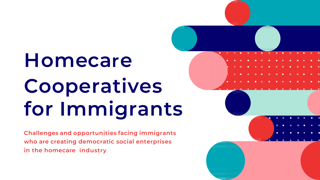# **Homecare Cooperatives for Immigrants**

**Challenges and opportunities facing immigrants who are creating democratic social enterprises in the homecare industry.**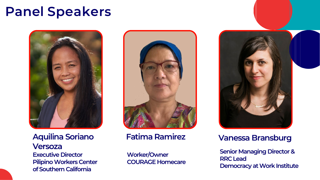#### **Panel Speakers**



**Aquilina Soriano Versoza Executive Director Pilipino Workers Center of Southern California**



**Worker/Owner COURAGE Homecare**



**Fatima Ramirez Vanessa Bransburg**

**Senior Managing Director & RRC Lead Democracy at Work Institute**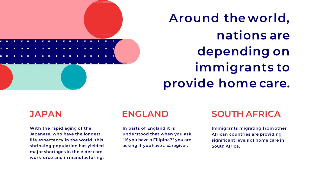

**Around the world, nations are depending on immigrants to provide home care.**

**With the rapid aging of the Japanese, who have the longest life expectancy in the world, this shrinking population has yielded major shortages in the elder care workforce and in manufacturing.**

**In parts of England it is understood that when you ask, "If you have a Filipina?" you are asking if youhave a caregiver.**

#### **JAPAN ENGLAND SOUTH AFRICA**

**Immigrants migrating from other African countries are providing significant levels of home care in South Africa.**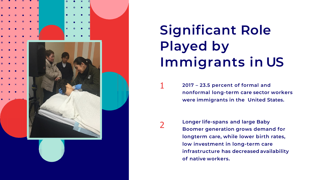

# **Significant Role Played by Immigrants in US**

1

2

- **2017 – 23.5 percent of formal and nonformal long-term care sector workers were immigrants in the United States.**
- **Longer life-spans and large Baby Boomer generation grows demand for longterm care, while lower birth rates, low investment in long-term care infrastructure has decreased availability of native workers.**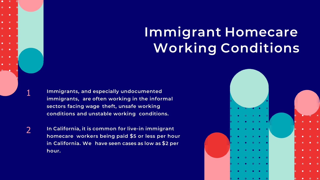## **Immigrant Homecare Working Conditions**

**Immigrants, and especially undocumented immigrants, are often working in the informal sectors facing wage theft, unsafe working conditions and unstable working conditions.**

1

**In California, it is common for live-in immigrant homecare workers being paid \$5 or less per hour in California. We have seen cases as low as \$2 per hour.** 2

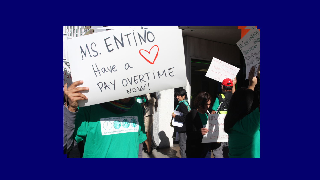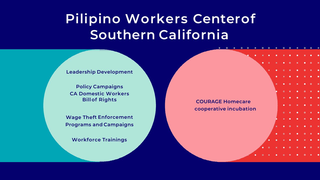## **Pilipino Workers Centerof Southern California**

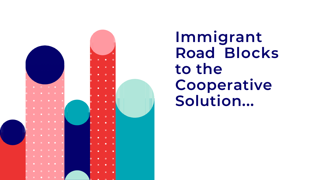

**Immigrant Road Blocks to the Cooperative Solution...**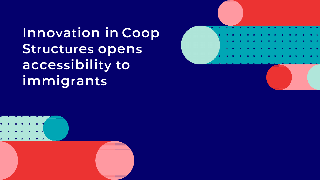## **Innovation in Coop Structures opens accessibility to immigrants**



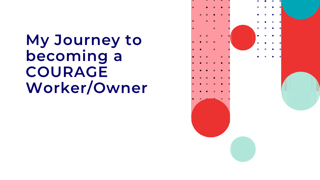**My Journey to becoming a COURAGE Worker/Owner**